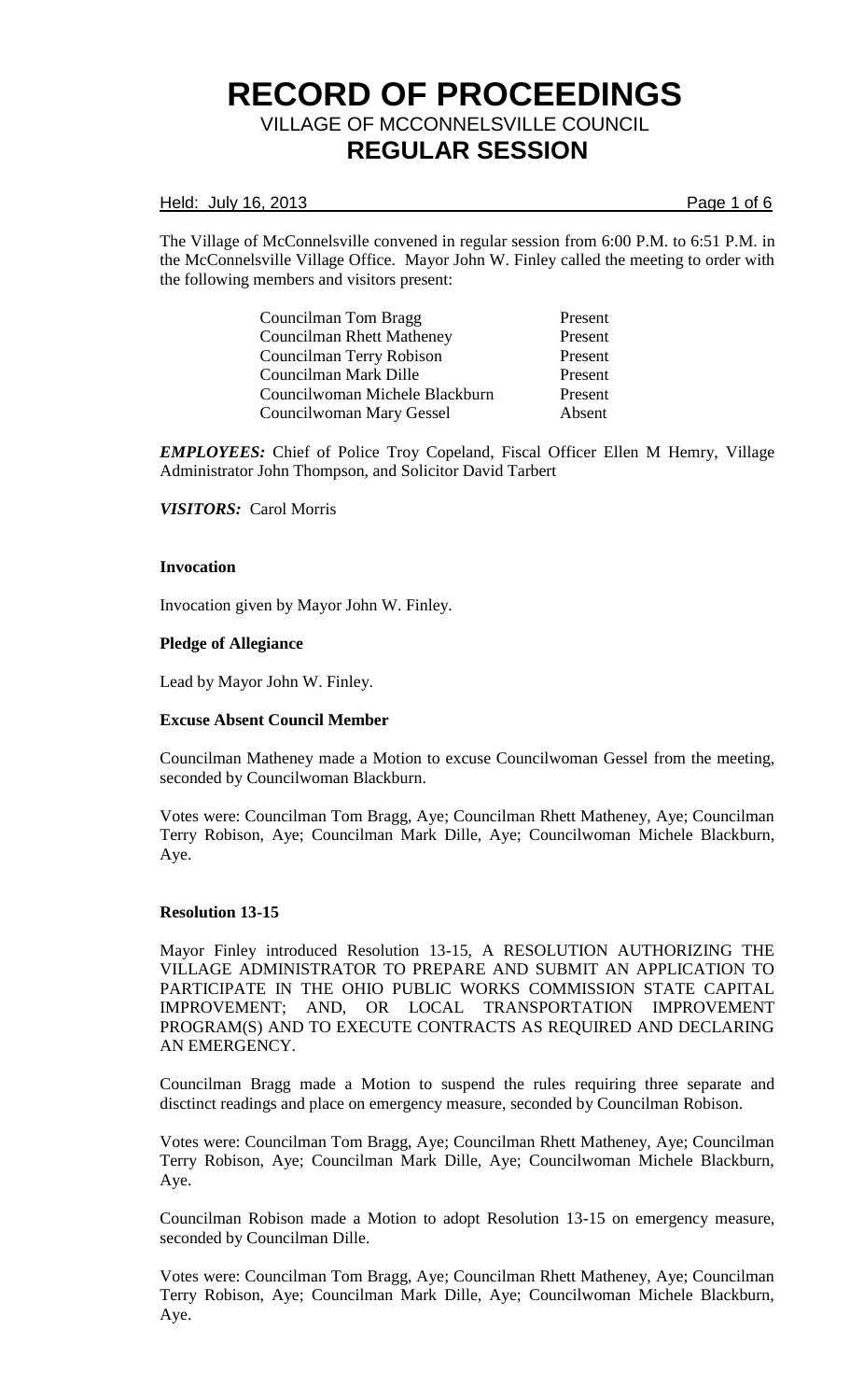## Held: July 16, 2013 **Page 1 of 6**

The Village of McConnelsville convened in regular session from 6:00 P.M. to 6:51 P.M. in the McConnelsville Village Office. Mayor John W. Finley called the meeting to order with the following members and visitors present:

| Councilman Tom Bragg             | Present |
|----------------------------------|---------|
| <b>Councilman Rhett Matheney</b> | Present |
| Councilman Terry Robison         | Present |
| Councilman Mark Dille            | Present |
| Councilwoman Michele Blackburn   | Present |
| Councilwoman Mary Gessel         | Absent  |

*EMPLOYEES:* Chief of Police Troy Copeland, Fiscal Officer Ellen M Hemry, Village Administrator John Thompson, and Solicitor David Tarbert

*VISITORS:* Carol Morris

#### **Invocation**

Invocation given by Mayor John W. Finley.

#### **Pledge of Allegiance**

Lead by Mayor John W. Finley.

## **Excuse Absent Council Member**

Councilman Matheney made a Motion to excuse Councilwoman Gessel from the meeting, seconded by Councilwoman Blackburn.

Votes were: Councilman Tom Bragg, Aye; Councilman Rhett Matheney, Aye; Councilman Terry Robison, Aye; Councilman Mark Dille, Aye; Councilwoman Michele Blackburn, Aye.

## **Resolution 13-15**

Mayor Finley introduced Resolution 13-15, A RESOLUTION AUTHORIZING THE VILLAGE ADMINISTRATOR TO PREPARE AND SUBMIT AN APPLICATION TO PARTICIPATE IN THE OHIO PUBLIC WORKS COMMISSION STATE CAPITAL IMPROVEMENT; AND, OR LOCAL TRANSPORTATION IMPROVEMENT PROGRAM(S) AND TO EXECUTE CONTRACTS AS REQUIRED AND DECLARING AN EMERGENCY.

Councilman Bragg made a Motion to suspend the rules requiring three separate and disctinct readings and place on emergency measure, seconded by Councilman Robison.

Votes were: Councilman Tom Bragg, Aye; Councilman Rhett Matheney, Aye; Councilman Terry Robison, Aye; Councilman Mark Dille, Aye; Councilwoman Michele Blackburn, Aye.

Councilman Robison made a Motion to adopt Resolution 13-15 on emergency measure, seconded by Councilman Dille.

Votes were: Councilman Tom Bragg, Aye; Councilman Rhett Matheney, Aye; Councilman Terry Robison, Aye; Councilman Mark Dille, Aye; Councilwoman Michele Blackburn, Aye.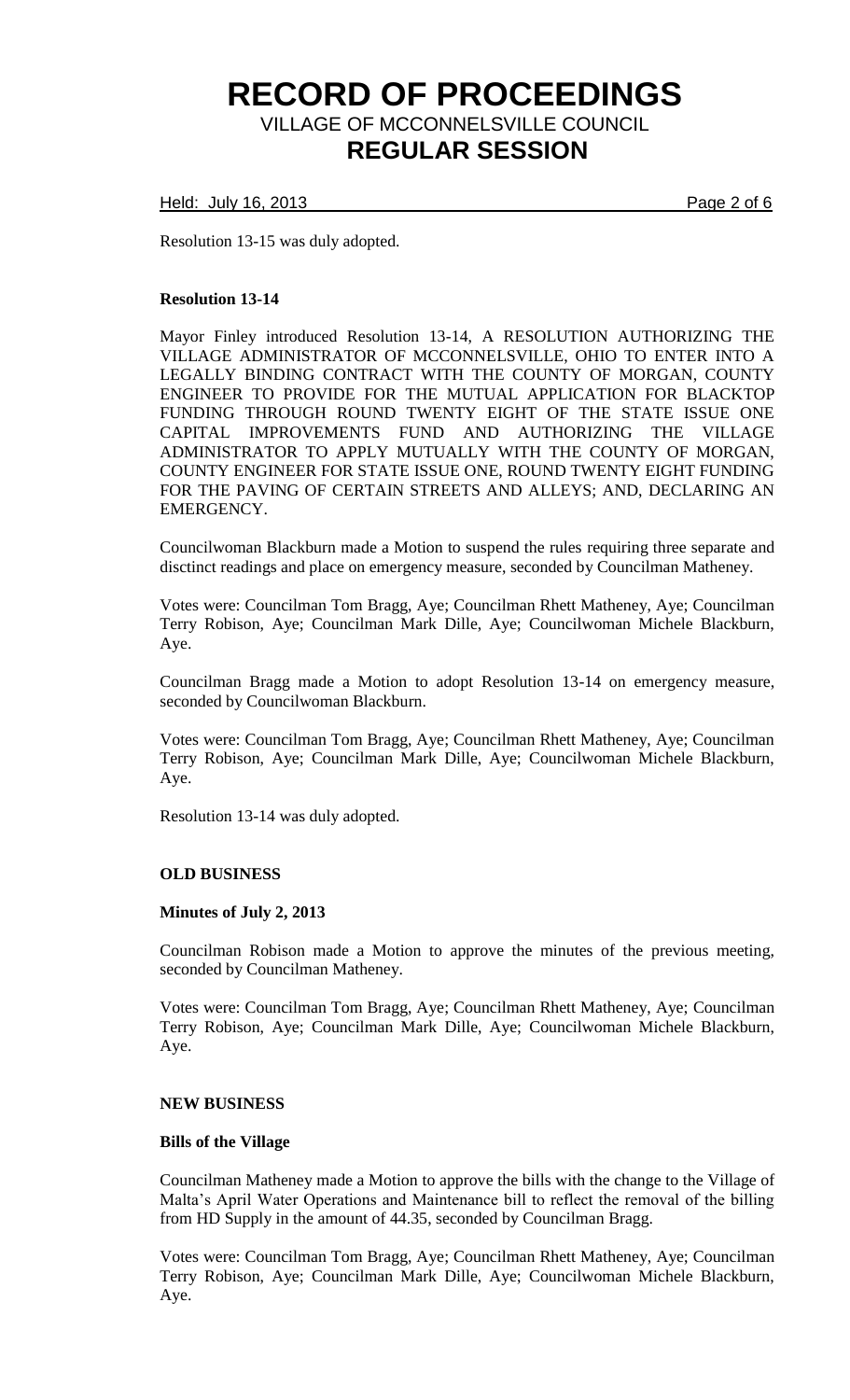Held: July 16, 2013 **Page 2 of 6** 

Resolution 13-15 was duly adopted.

## **Resolution 13-14**

Mayor Finley introduced Resolution 13-14, A RESOLUTION AUTHORIZING THE VILLAGE ADMINISTRATOR OF MCCONNELSVILLE, OHIO TO ENTER INTO A LEGALLY BINDING CONTRACT WITH THE COUNTY OF MORGAN, COUNTY ENGINEER TO PROVIDE FOR THE MUTUAL APPLICATION FOR BLACKTOP FUNDING THROUGH ROUND TWENTY EIGHT OF THE STATE ISSUE ONE CAPITAL IMPROVEMENTS FUND AND AUTHORIZING THE VILLAGE ADMINISTRATOR TO APPLY MUTUALLY WITH THE COUNTY OF MORGAN, COUNTY ENGINEER FOR STATE ISSUE ONE, ROUND TWENTY EIGHT FUNDING FOR THE PAVING OF CERTAIN STREETS AND ALLEYS; AND, DECLARING AN EMERGENCY.

Councilwoman Blackburn made a Motion to suspend the rules requiring three separate and disctinct readings and place on emergency measure, seconded by Councilman Matheney.

Votes were: Councilman Tom Bragg, Aye; Councilman Rhett Matheney, Aye; Councilman Terry Robison, Aye; Councilman Mark Dille, Aye; Councilwoman Michele Blackburn, Aye.

Councilman Bragg made a Motion to adopt Resolution 13-14 on emergency measure, seconded by Councilwoman Blackburn.

Votes were: Councilman Tom Bragg, Aye; Councilman Rhett Matheney, Aye; Councilman Terry Robison, Aye; Councilman Mark Dille, Aye; Councilwoman Michele Blackburn, Aye.

Resolution 13-14 was duly adopted.

## **OLD BUSINESS**

## **Minutes of July 2, 2013**

Councilman Robison made a Motion to approve the minutes of the previous meeting, seconded by Councilman Matheney.

Votes were: Councilman Tom Bragg, Aye; Councilman Rhett Matheney, Aye; Councilman Terry Robison, Aye; Councilman Mark Dille, Aye; Councilwoman Michele Blackburn, Aye.

## **NEW BUSINESS**

## **Bills of the Village**

Councilman Matheney made a Motion to approve the bills with the change to the Village of Malta's April Water Operations and Maintenance bill to reflect the removal of the billing from HD Supply in the amount of 44.35, seconded by Councilman Bragg.

Votes were: Councilman Tom Bragg, Aye; Councilman Rhett Matheney, Aye; Councilman Terry Robison, Aye; Councilman Mark Dille, Aye; Councilwoman Michele Blackburn, Aye.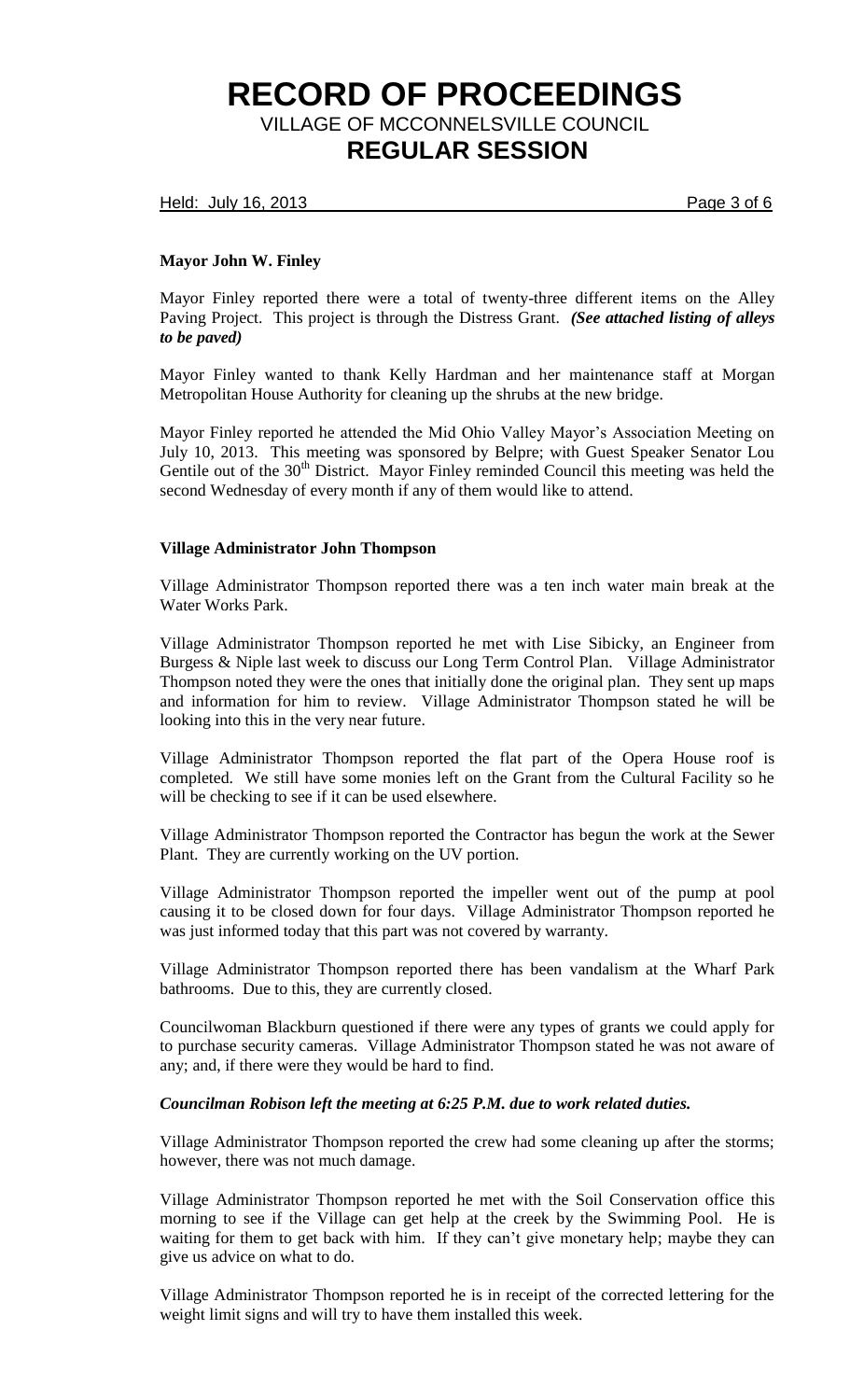Held: July 16, 2013 **Page 3 of 6** 

# **Mayor John W. Finley**

Mayor Finley reported there were a total of twenty-three different items on the Alley Paving Project. This project is through the Distress Grant. *(See attached listing of alleys to be paved)*

Mayor Finley wanted to thank Kelly Hardman and her maintenance staff at Morgan Metropolitan House Authority for cleaning up the shrubs at the new bridge.

Mayor Finley reported he attended the Mid Ohio Valley Mayor's Association Meeting on July 10, 2013. This meeting was sponsored by Belpre; with Guest Speaker Senator Lou Gentile out of the 30<sup>th</sup> District. Mayor Finley reminded Council this meeting was held the second Wednesday of every month if any of them would like to attend.

# **Village Administrator John Thompson**

Village Administrator Thompson reported there was a ten inch water main break at the Water Works Park.

Village Administrator Thompson reported he met with Lise Sibicky, an Engineer from Burgess & Niple last week to discuss our Long Term Control Plan. Village Administrator Thompson noted they were the ones that initially done the original plan. They sent up maps and information for him to review. Village Administrator Thompson stated he will be looking into this in the very near future.

Village Administrator Thompson reported the flat part of the Opera House roof is completed. We still have some monies left on the Grant from the Cultural Facility so he will be checking to see if it can be used elsewhere.

Village Administrator Thompson reported the Contractor has begun the work at the Sewer Plant. They are currently working on the UV portion.

Village Administrator Thompson reported the impeller went out of the pump at pool causing it to be closed down for four days. Village Administrator Thompson reported he was just informed today that this part was not covered by warranty.

Village Administrator Thompson reported there has been vandalism at the Wharf Park bathrooms. Due to this, they are currently closed.

Councilwoman Blackburn questioned if there were any types of grants we could apply for to purchase security cameras. Village Administrator Thompson stated he was not aware of any; and, if there were they would be hard to find.

# *Councilman Robison left the meeting at 6:25 P.M. due to work related duties.*

Village Administrator Thompson reported the crew had some cleaning up after the storms; however, there was not much damage.

Village Administrator Thompson reported he met with the Soil Conservation office this morning to see if the Village can get help at the creek by the Swimming Pool. He is waiting for them to get back with him. If they can't give monetary help; maybe they can give us advice on what to do.

Village Administrator Thompson reported he is in receipt of the corrected lettering for the weight limit signs and will try to have them installed this week.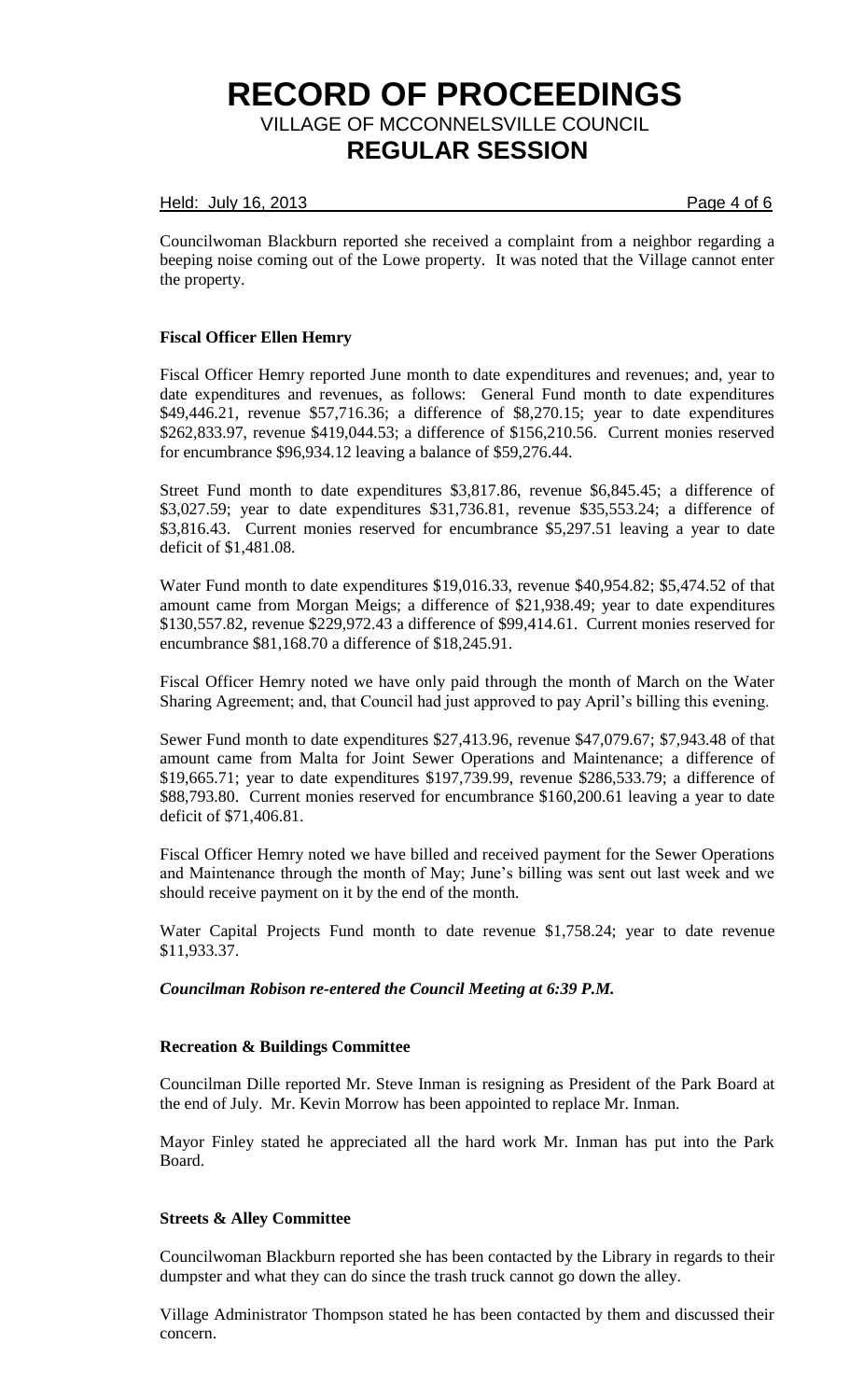## Held: July 16, 2013 **Page 4 of 6**

Councilwoman Blackburn reported she received a complaint from a neighbor regarding a beeping noise coming out of the Lowe property. It was noted that the Village cannot enter the property.

# **Fiscal Officer Ellen Hemry**

Fiscal Officer Hemry reported June month to date expenditures and revenues; and, year to date expenditures and revenues, as follows: General Fund month to date expenditures \$49,446.21, revenue \$57,716.36; a difference of \$8,270.15; year to date expenditures \$262,833.97, revenue \$419,044.53; a difference of \$156,210.56. Current monies reserved for encumbrance \$96,934.12 leaving a balance of \$59,276.44.

Street Fund month to date expenditures \$3,817.86, revenue \$6,845.45; a difference of \$3,027.59; year to date expenditures \$31,736.81, revenue \$35,553.24; a difference of \$3,816.43. Current monies reserved for encumbrance \$5,297.51 leaving a year to date deficit of \$1,481.08.

Water Fund month to date expenditures \$19,016.33, revenue \$40,954.82; \$5,474.52 of that amount came from Morgan Meigs; a difference of \$21,938.49; year to date expenditures \$130,557.82, revenue \$229,972.43 a difference of \$99,414.61. Current monies reserved for encumbrance \$81,168.70 a difference of \$18,245.91.

Fiscal Officer Hemry noted we have only paid through the month of March on the Water Sharing Agreement; and, that Council had just approved to pay April's billing this evening.

Sewer Fund month to date expenditures \$27,413.96, revenue \$47,079.67; \$7,943.48 of that amount came from Malta for Joint Sewer Operations and Maintenance; a difference of \$19,665.71; year to date expenditures \$197,739.99, revenue \$286,533.79; a difference of \$88,793.80. Current monies reserved for encumbrance \$160,200.61 leaving a year to date deficit of \$71,406.81.

Fiscal Officer Hemry noted we have billed and received payment for the Sewer Operations and Maintenance through the month of May; June's billing was sent out last week and we should receive payment on it by the end of the month.

Water Capital Projects Fund month to date revenue \$1,758.24; year to date revenue \$11,933.37.

# *Councilman Robison re-entered the Council Meeting at 6:39 P.M.*

## **Recreation & Buildings Committee**

Councilman Dille reported Mr. Steve Inman is resigning as President of the Park Board at the end of July. Mr. Kevin Morrow has been appointed to replace Mr. Inman.

Mayor Finley stated he appreciated all the hard work Mr. Inman has put into the Park Board.

## **Streets & Alley Committee**

Councilwoman Blackburn reported she has been contacted by the Library in regards to their dumpster and what they can do since the trash truck cannot go down the alley.

Village Administrator Thompson stated he has been contacted by them and discussed their concern.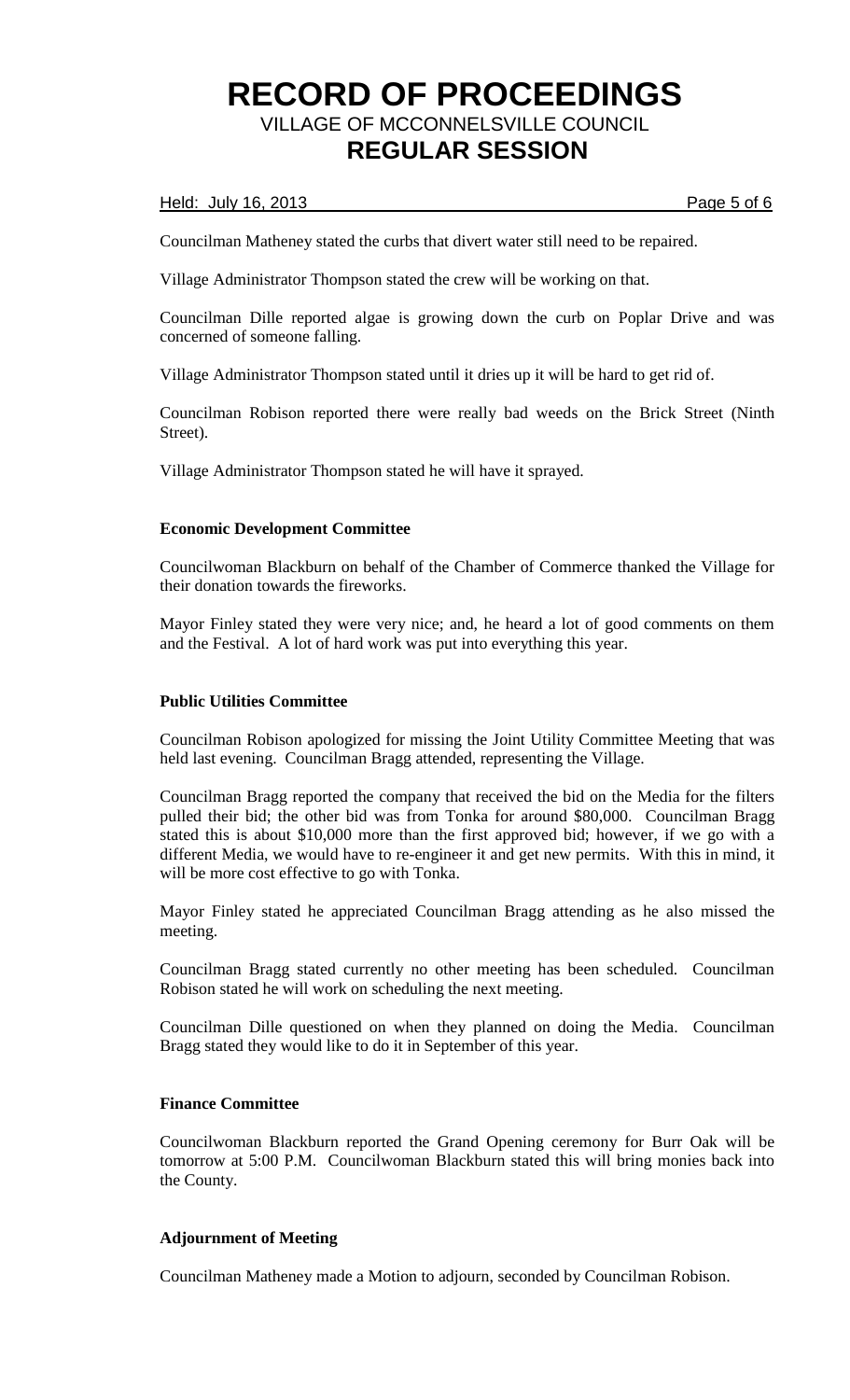## Held: July 16, 2013 **Page 5 of 6**

Councilman Matheney stated the curbs that divert water still need to be repaired.

Village Administrator Thompson stated the crew will be working on that.

Councilman Dille reported algae is growing down the curb on Poplar Drive and was concerned of someone falling.

Village Administrator Thompson stated until it dries up it will be hard to get rid of.

Councilman Robison reported there were really bad weeds on the Brick Street (Ninth Street).

Village Administrator Thompson stated he will have it sprayed.

## **Economic Development Committee**

Councilwoman Blackburn on behalf of the Chamber of Commerce thanked the Village for their donation towards the fireworks.

Mayor Finley stated they were very nice; and, he heard a lot of good comments on them and the Festival. A lot of hard work was put into everything this year.

## **Public Utilities Committee**

Councilman Robison apologized for missing the Joint Utility Committee Meeting that was held last evening. Councilman Bragg attended, representing the Village.

Councilman Bragg reported the company that received the bid on the Media for the filters pulled their bid; the other bid was from Tonka for around \$80,000. Councilman Bragg stated this is about \$10,000 more than the first approved bid; however, if we go with a different Media, we would have to re-engineer it and get new permits. With this in mind, it will be more cost effective to go with Tonka.

Mayor Finley stated he appreciated Councilman Bragg attending as he also missed the meeting.

Councilman Bragg stated currently no other meeting has been scheduled. Councilman Robison stated he will work on scheduling the next meeting.

Councilman Dille questioned on when they planned on doing the Media. Councilman Bragg stated they would like to do it in September of this year.

# **Finance Committee**

Councilwoman Blackburn reported the Grand Opening ceremony for Burr Oak will be tomorrow at 5:00 P.M. Councilwoman Blackburn stated this will bring monies back into the County.

# **Adjournment of Meeting**

Councilman Matheney made a Motion to adjourn, seconded by Councilman Robison.